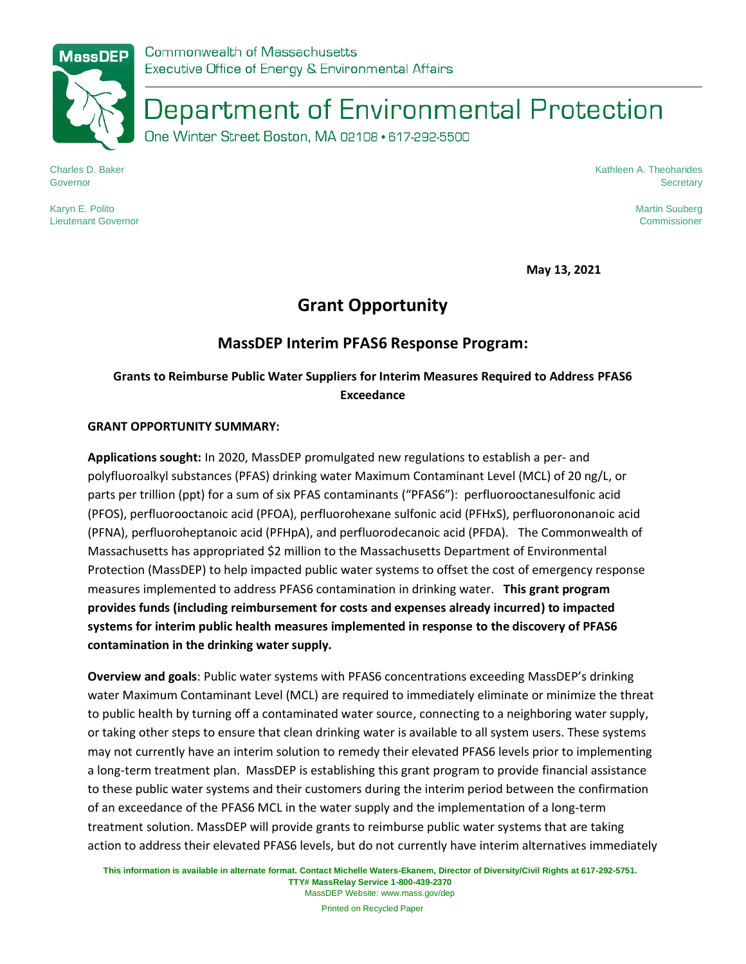# Department of Environmental Protection

One Winter Street Boston, MA 02108 · 617-292-5500

Charles D. Baker Governor

Karyn E. Polito Lieutenant Governor Kathleen A. Theoharides **Secretary** 

> Martin Suuberg Commissioner

**May 13, 2021**

## **Grant Opportunity**

### **MassDEP Interim PFAS6 Response Program:**

### **Grants to Reimburse Public Water Suppliers for Interim Measures Required to Address PFAS6 Exceedance**

### **GRANT OPPORTUNITY SUMMARY:**

**Applications sought:** In 2020, MassDEP promulgated new regulations to establish a per- and polyfluoroalkyl substances (PFAS) drinking water Maximum Contaminant Level (MCL) of 20 ng/L, or parts per trillion (ppt) for a sum of six PFAS contaminants ("PFAS6"): perfluorooctanesulfonic acid (PFOS), perfluorooctanoic acid (PFOA), perfluorohexane sulfonic acid (PFHxS), perfluorononanoic acid (PFNA), perfluoroheptanoic acid (PFHpA), and perfluorodecanoic acid (PFDA).The Commonwealth of Massachusetts has appropriated \$2 million to the Massachusetts Department of Environmental Protection (MassDEP) to help impacted public water systems to offset the cost of emergency response measures implemented to address PFAS6 contamination in drinking water. **This grant program provides funds (including reimbursement for costs and expenses already incurred) to impacted systems for interim public health measures implemented in response to the discovery of PFAS6 contamination in the drinking water supply.** 

**Overview and goals**: Public water systems with PFAS6 concentrations exceeding MassDEP's drinking water Maximum Contaminant Level (MCL) are required to immediately eliminate or minimize the threat to public health by turning off a contaminated water source, connecting to a neighboring water supply, or taking other steps to ensure that clean drinking water is available to all system users. These systems may not currently have an interim solution to remedy their elevated PFAS6 levels prior to implementing a long-term treatment plan. MassDEP is establishing this grant program to provide financial assistance to these public water systems and their customers during the interim period between the confirmation of an exceedance of the PFAS6 MCL in the water supply and the implementation of a long-term treatment solution. MassDEP will provide grants to reimburse public water systems that are taking action to address their elevated PFAS6 levels, but do not currently have interim alternatives immediately

**This information is available in alternate format. Contact Michelle Waters-Ekanem, Director of Diversity/Civil Rights at 617-292-5751. TTY# MassRelay Service 1-800-439-2370**

MassDEP Website: www.mass.gov/dep

Printed on Recycled Paper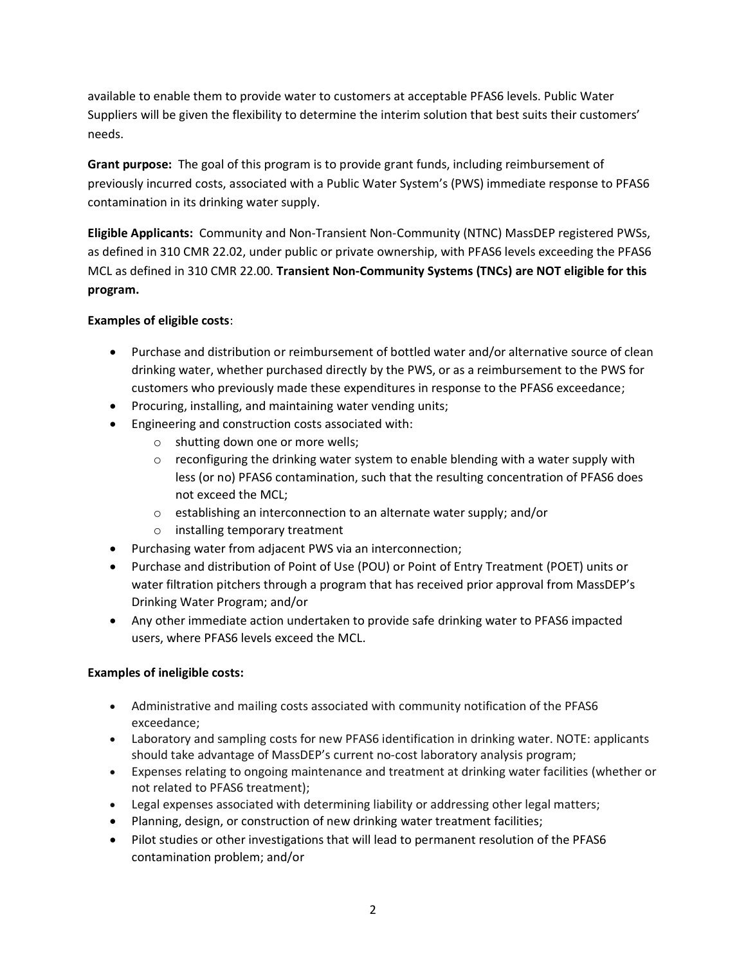available to enable them to provide water to customers at acceptable PFAS6 levels. Public Water Suppliers will be given the flexibility to determine the interim solution that best suits their customers' needs.

**Grant purpose:** The goal of this program is to provide grant funds, including reimbursement of previously incurred costs, associated with a Public Water System's (PWS) immediate response to PFAS6 contamination in its drinking water supply.

**Eligible Applicants:** Community and Non-Transient Non-Community (NTNC) MassDEP registered PWSs, as defined in 310 CMR 22.02, under public or private ownership, with PFAS6 levels exceeding the PFAS6 MCL as defined in 310 CMR 22.00. **Transient Non-Community Systems (TNCs) are NOT eligible for this program.**

### **Examples of eligible costs**:

- Purchase and distribution or reimbursement of bottled water and/or alternative source of clean drinking water, whether purchased directly by the PWS, or as a reimbursement to the PWS for customers who previously made these expenditures in response to the PFAS6 exceedance;
- Procuring, installing, and maintaining water vending units;
- Engineering and construction costs associated with:
	- o shutting down one or more wells;
	- $\circ$  reconfiguring the drinking water system to enable blending with a water supply with less (or no) PFAS6 contamination, such that the resulting concentration of PFAS6 does not exceed the MCL;
	- o establishing an interconnection to an alternate water supply; and/or
	- o installing temporary treatment
- Purchasing water from adjacent PWS via an interconnection;
- Purchase and distribution of Point of Use (POU) or Point of Entry Treatment (POET) units or water filtration pitchers through a program that has received prior approval from MassDEP's Drinking Water Program; and/or
- Any other immediate action undertaken to provide safe drinking water to PFAS6 impacted users, where PFAS6 levels exceed the MCL.

### **Examples of ineligible costs:**

- Administrative and mailing costs associated with community notification of the PFAS6 exceedance;
- Laboratory and sampling costs for new PFAS6 identification in drinking water. NOTE: applicants should take advantage of MassDEP's current no-cost laboratory analysis program;
- Expenses relating to ongoing maintenance and treatment at drinking water facilities (whether or not related to PFAS6 treatment);
- Legal expenses associated with determining liability or addressing other legal matters;
- Planning, design, or construction of new drinking water treatment facilities;
- Pilot studies or other investigations that will lead to permanent resolution of the PFAS6 contamination problem; and/or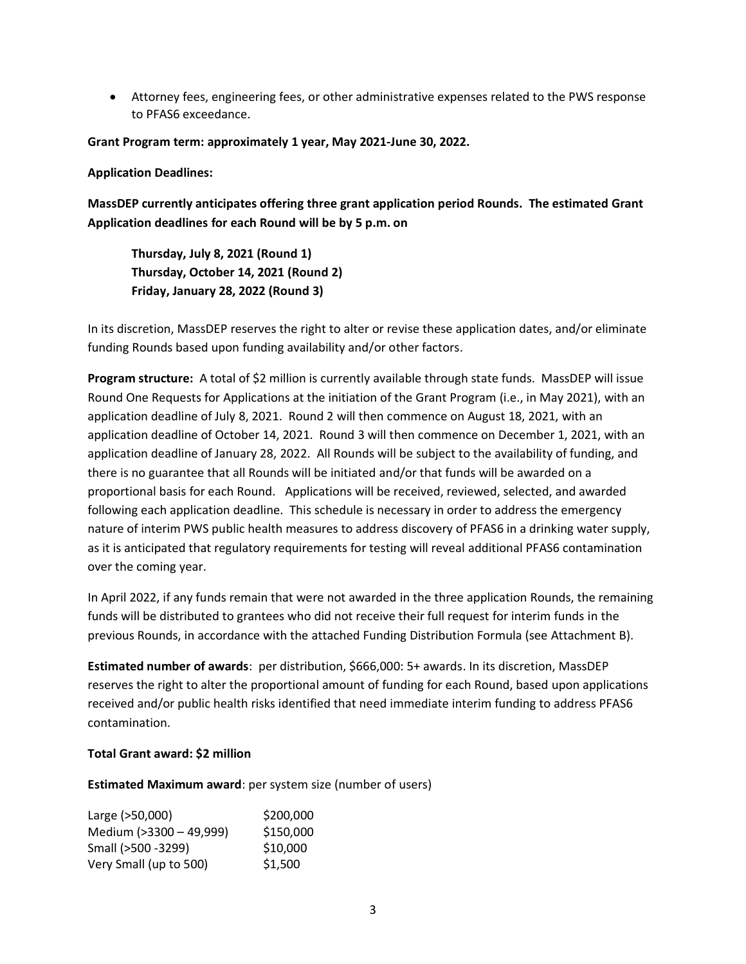• Attorney fees, engineering fees, or other administrative expenses related to the PWS response to PFAS6 exceedance.

**Grant Program term: approximately 1 year, May 2021-June 30, 2022.**

#### **Application Deadlines:**

**MassDEP currently anticipates offering three grant application period Rounds. The estimated Grant Application deadlines for each Round will be by 5 p.m. on**

**Thursday, July 8, 2021 (Round 1) Thursday, October 14, 2021 (Round 2) Friday, January 28, 2022 (Round 3)**

In its discretion, MassDEP reserves the right to alter or revise these application dates, and/or eliminate funding Rounds based upon funding availability and/or other factors.

**Program structure:** A total of \$2 million is currently available through state funds. MassDEP will issue Round One Requests for Applications at the initiation of the Grant Program (i.e., in May 2021), with an application deadline of July 8, 2021. Round 2 will then commence on August 18, 2021, with an application deadline of October 14, 2021. Round 3 will then commence on December 1, 2021, with an application deadline of January 28, 2022. All Rounds will be subject to the availability of funding, and there is no guarantee that all Rounds will be initiated and/or that funds will be awarded on a proportional basis for each Round. Applications will be received, reviewed, selected, and awarded following each application deadline. This schedule is necessary in order to address the emergency nature of interim PWS public health measures to address discovery of PFAS6 in a drinking water supply, as it is anticipated that regulatory requirements for testing will reveal additional PFAS6 contamination over the coming year.

In April 2022, if any funds remain that were not awarded in the three application Rounds, the remaining funds will be distributed to grantees who did not receive their full request for interim funds in the previous Rounds, in accordance with the attached Funding Distribution Formula (see Attachment B).

**Estimated number of awards**: per distribution, \$666,000: 5+ awards. In its discretion, MassDEP reserves the right to alter the proportional amount of funding for each Round, based upon applications received and/or public health risks identified that need immediate interim funding to address PFAS6 contamination.

### **Total Grant award: \$2 million**

**Estimated Maximum award**: per system size (number of users)

| Large (>50,000)         | \$200,000 |
|-------------------------|-----------|
| Medium (>3300 - 49,999) | \$150,000 |
| Small (>500 -3299)      | \$10,000  |
| Very Small (up to 500)  | \$1,500   |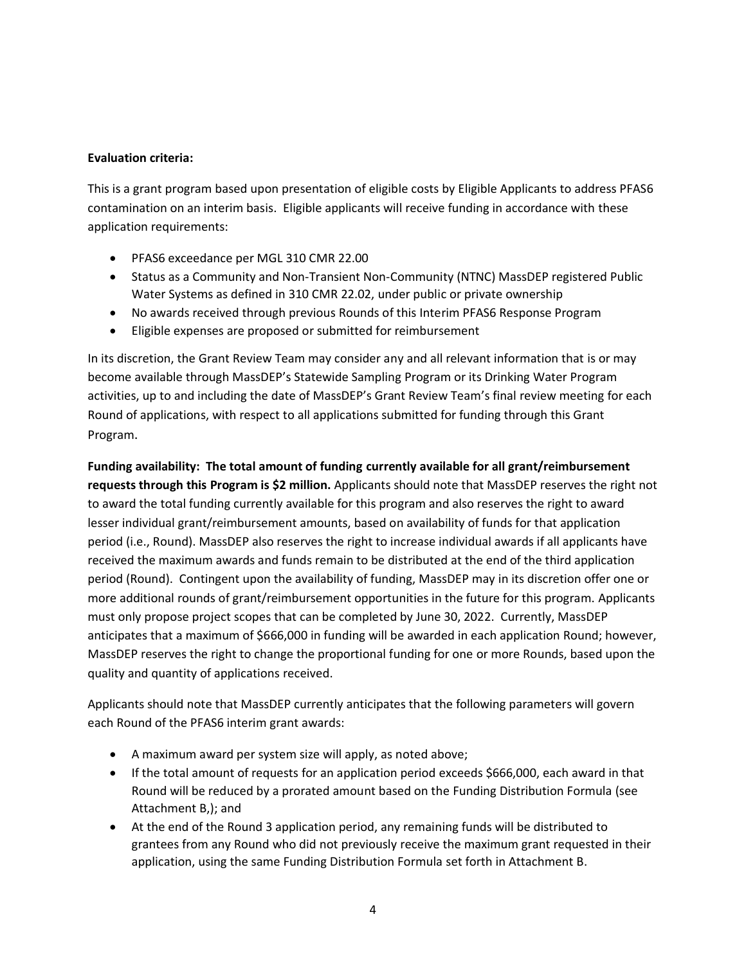### **Evaluation criteria:**

This is a grant program based upon presentation of eligible costs by Eligible Applicants to address PFAS6 contamination on an interim basis. Eligible applicants will receive funding in accordance with these application requirements:

- PFAS6 exceedance per MGL 310 CMR 22.00
- Status as a Community and Non-Transient Non-Community (NTNC) MassDEP registered Public Water Systems as defined in 310 CMR 22.02, under public or private ownership
- No awards received through previous Rounds of this Interim PFAS6 Response Program
- Eligible expenses are proposed or submitted for reimbursement

In its discretion, the Grant Review Team may consider any and all relevant information that is or may become available through MassDEP's Statewide Sampling Program or its Drinking Water Program activities, up to and including the date of MassDEP's Grant Review Team's final review meeting for each Round of applications, with respect to all applications submitted for funding through this Grant Program.

**Funding availability: The total amount of funding currently available for all grant/reimbursement requests through this Program is \$2 million.** Applicants should note that MassDEP reserves the right not to award the total funding currently available for this program and also reserves the right to award lesser individual grant/reimbursement amounts, based on availability of funds for that application period (i.e., Round). MassDEP also reserves the right to increase individual awards if all applicants have received the maximum awards and funds remain to be distributed at the end of the third application period (Round). Contingent upon the availability of funding, MassDEP may in its discretion offer one or more additional rounds of grant/reimbursement opportunities in the future for this program. Applicants must only propose project scopes that can be completed by June 30, 2022. Currently, MassDEP anticipates that a maximum of \$666,000 in funding will be awarded in each application Round; however, MassDEP reserves the right to change the proportional funding for one or more Rounds, based upon the quality and quantity of applications received.

Applicants should note that MassDEP currently anticipates that the following parameters will govern each Round of the PFAS6 interim grant awards:

- A maximum award per system size will apply, as noted above;
- If the total amount of requests for an application period exceeds \$666,000, each award in that Round will be reduced by a prorated amount based on the Funding Distribution Formula (see Attachment B,); and
- At the end of the Round 3 application period, any remaining funds will be distributed to grantees from any Round who did not previously receive the maximum grant requested in their application, using the same Funding Distribution Formula set forth in Attachment B.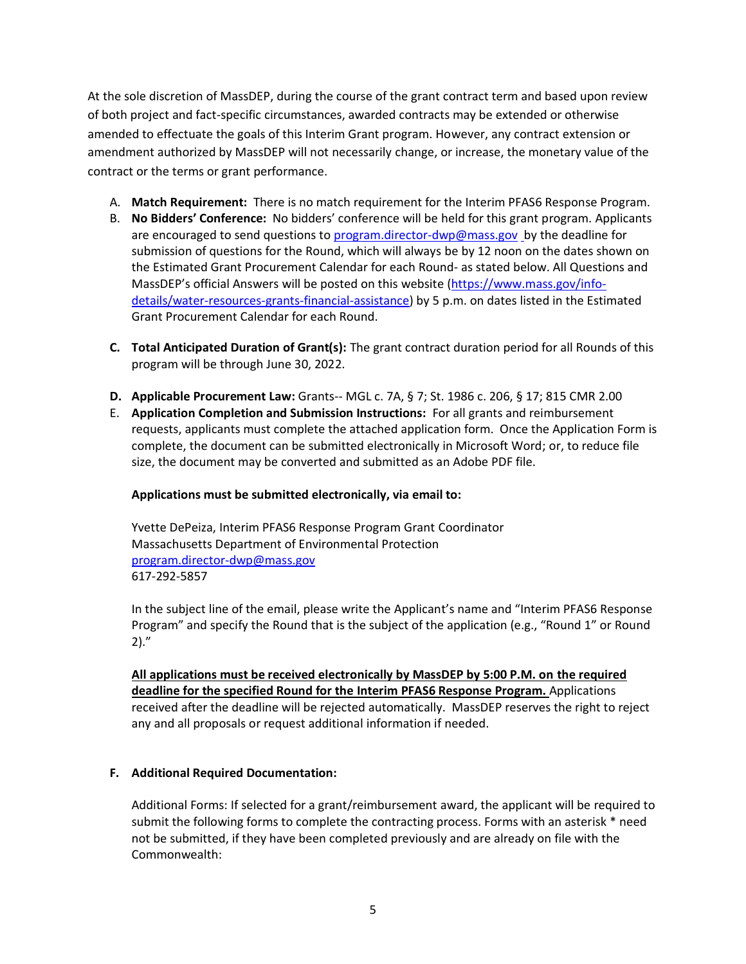At the sole discretion of MassDEP, during the course of the grant contract term and based upon review of both project and fact-specific circumstances, awarded contracts may be extended or otherwise amended to effectuate the goals of this Interim Grant program. However, any contract extension or amendment authorized by MassDEP will not necessarily change, or increase, the monetary value of the contract or the terms or grant performance.

- A. **Match Requirement:** There is no match requirement for the Interim PFAS6 Response Program.
- B. **No Bidders' Conference:** No bidders' conference will be held for this grant program. Applicants are encouraged to send questions to [program.director-dwp@mass.gov](mailto:program.director-dwp@mass.gov) by the deadline for submission of questions for the Round, which will always be by 12 noon on the dates shown on the Estimated Grant Procurement Calendar for each Round- as stated below. All Questions and MassDEP's official Answers will be posted on this website [\(https://www.mass.gov/info](https://www.mass.gov/info-details/water-resources-grants-financial-assistance)[details/water-resources-grants-financial-assistance\)](https://www.mass.gov/info-details/water-resources-grants-financial-assistance) by 5 p.m. on dates listed in the Estimated Grant Procurement Calendar for each Round.
- **C. Total Anticipated Duration of Grant(s):** The grant contract duration period for all Rounds of this program will be through June 30, 2022.
- **D. Applicable Procurement Law:** Grants-- MGL c. 7A, § 7; St. 1986 c. 206, § 17; 815 CMR 2.00
- E. **Application Completion and Submission Instructions:** For all grants and reimbursement requests, applicants must complete the attached application form. Once the Application Form is complete, the document can be submitted electronically in Microsoft Word; or, to reduce file size, the document may be converted and submitted as an Adobe PDF file.

### **Applications must be submitted electronically, via email to:**

Yvette DePeiza, Interim PFAS6 Response Program Grant Coordinator Massachusetts Department of Environmental Protection [program.director-dwp@mass.gov](mailto:program.director-dwp@mass.gov) 617-292-5857

In the subject line of the email, please write the Applicant's name and "Interim PFAS6 Response Program" and specify the Round that is the subject of the application (e.g., "Round 1" or Round  $2)$ ."

**All applications must be received electronically by MassDEP by 5:00 P.M. on the required deadline for the specified Round for the Interim PFAS6 Response Program.** Applications received after the deadline will be rejected automatically. MassDEP reserves the right to reject any and all proposals or request additional information if needed.

### **F. Additional Required Documentation:**

Additional Forms: If selected for a grant/reimbursement award, the applicant will be required to submit the following forms to complete the contracting process. Forms with an asterisk \* need not be submitted, if they have been completed previously and are already on file with the Commonwealth: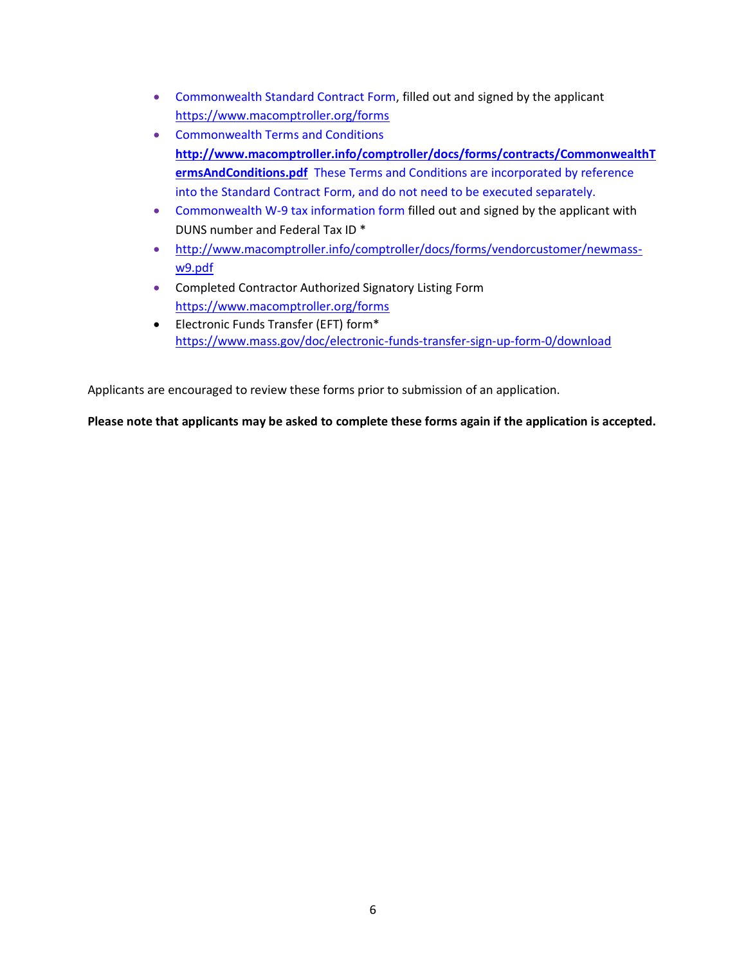- Commonwealth Standard Contract Form, filled out and signed by the applicant <https://www.macomptroller.org/forms>
- Commonwealth Terms and Conditions **[http://www.macomptroller.info/comptroller/docs/forms/contracts/CommonwealthT](http://www.macomptroller.info/comptroller/docs/forms/contracts/CommonwealthTermsAndConditions.pdf) [ermsAndConditions.pdf](http://www.macomptroller.info/comptroller/docs/forms/contracts/CommonwealthTermsAndConditions.pdf)** These Terms and Conditions are incorporated by reference into the Standard Contract Form, and do not need to be executed separately.
- Commonwealth W-9 tax information form filled out and signed by the applicant with DUNS number and Federal Tax ID \*
- [http://www.macomptroller.info/comptroller/docs/forms/vendorcustomer/newmass](http://www.macomptroller.info/comptroller/docs/forms/vendorcustomer/newmass-w9.pdf)[w9.pdf](http://www.macomptroller.info/comptroller/docs/forms/vendorcustomer/newmass-w9.pdf)
- Completed Contractor Authorized Signatory Listing Form <https://www.macomptroller.org/forms>
- Electronic Funds Transfer (EFT) form\* <https://www.mass.gov/doc/electronic-funds-transfer-sign-up-form-0/download>

Applicants are encouraged to review these forms prior to submission of an application.

**Please note that applicants may be asked to complete these forms again if the application is accepted.**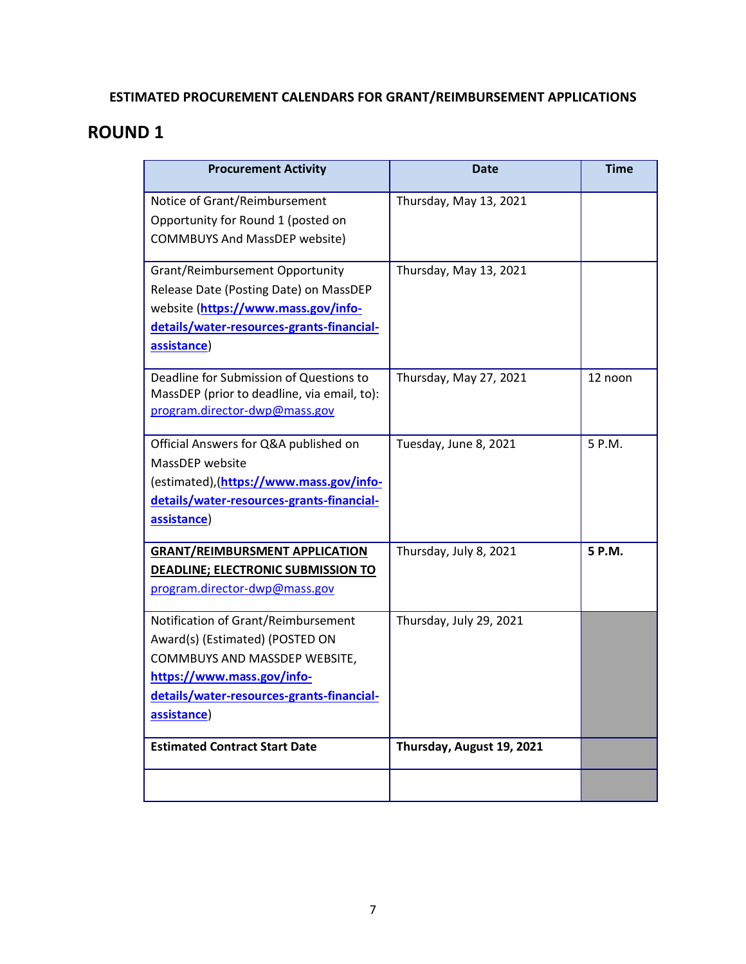### **ESTIMATED PROCUREMENT CALENDARS FOR GRANT/REIMBURSEMENT APPLICATIONS**

### **ROUND 1**

| <b>Procurement Activity</b>                                                                                                                                                                       | <b>Date</b>               | <b>Time</b> |
|---------------------------------------------------------------------------------------------------------------------------------------------------------------------------------------------------|---------------------------|-------------|
| Notice of Grant/Reimbursement<br>Opportunity for Round 1 (posted on<br><b>COMMBUYS And MassDEP website)</b>                                                                                       | Thursday, May 13, 2021    |             |
| Grant/Reimbursement Opportunity<br>Release Date (Posting Date) on MassDEP<br>website (https://www.mass.gov/info-<br>details/water-resources-grants-financial-<br>assistance)                      | Thursday, May 13, 2021    |             |
| Deadline for Submission of Questions to<br>MassDEP (prior to deadline, via email, to):<br>program.director-dwp@mass.gov                                                                           | Thursday, May 27, 2021    | 12 noon     |
| Official Answers for Q&A published on<br>MassDEP website<br>(estimated), (https://www.mass.gov/info-<br>details/water-resources-grants-financial-<br>assistance)                                  | Tuesday, June 8, 2021     | 5 P.M.      |
| <b>GRANT/REIMBURSMENT APPLICATION</b><br>DEADLINE; ELECTRONIC SUBMISSION TO<br>program.director-dwp@mass.gov                                                                                      | Thursday, July 8, 2021    | 5 P.M.      |
| Notification of Grant/Reimbursement<br>Award(s) (Estimated) (POSTED ON<br>COMMBUYS AND MASSDEP WEBSITE,<br>https://www.mass.gov/info-<br>details/water-resources-grants-financial-<br>assistance) | Thursday, July 29, 2021   |             |
| <b>Estimated Contract Start Date</b>                                                                                                                                                              | Thursday, August 19, 2021 |             |
|                                                                                                                                                                                                   |                           |             |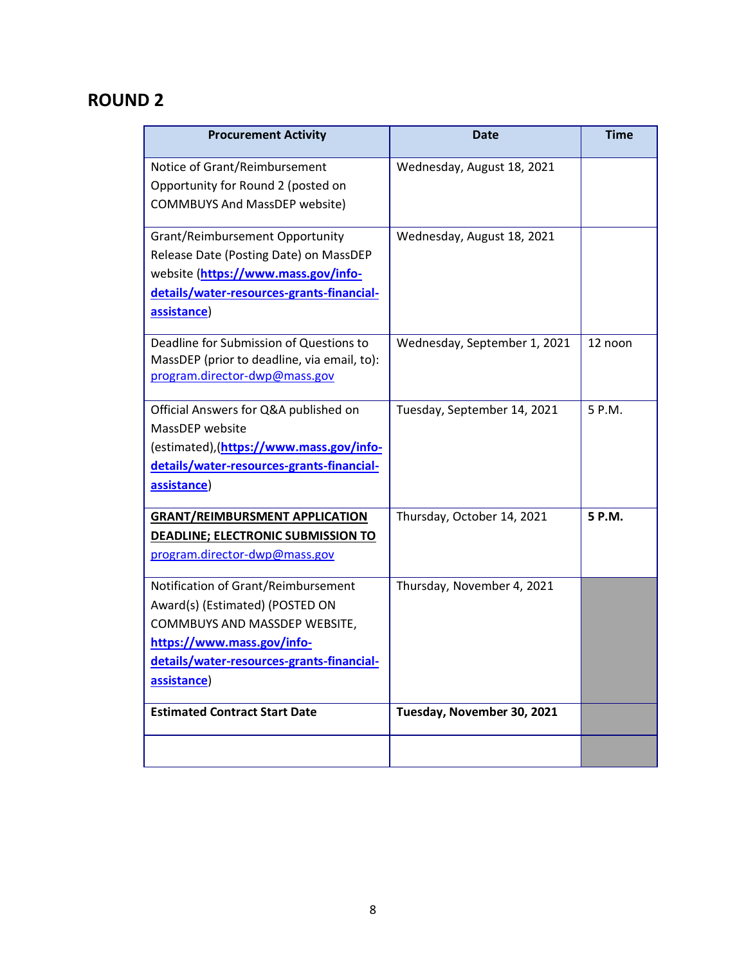# **ROUND 2**

| <b>Procurement Activity</b>                                                                                                                                                                       | Date                         | <b>Time</b> |
|---------------------------------------------------------------------------------------------------------------------------------------------------------------------------------------------------|------------------------------|-------------|
| Notice of Grant/Reimbursement<br>Opportunity for Round 2 (posted on<br><b>COMMBUYS And MassDEP website)</b>                                                                                       | Wednesday, August 18, 2021   |             |
| Grant/Reimbursement Opportunity<br>Release Date (Posting Date) on MassDEP<br>website (https://www.mass.gov/info-<br>details/water-resources-grants-financial-<br>assistance)                      | Wednesday, August 18, 2021   |             |
| Deadline for Submission of Questions to<br>MassDEP (prior to deadline, via email, to):<br>program.director-dwp@mass.gov                                                                           | Wednesday, September 1, 2021 | 12 noon     |
| Official Answers for Q&A published on<br>MassDEP website<br>(estimated), (https://www.mass.gov/info-<br>details/water-resources-grants-financial-<br>assistance)                                  | Tuesday, September 14, 2021  | 5 P.M.      |
| <b>GRANT/REIMBURSMENT APPLICATION</b><br>DEADLINE; ELECTRONIC SUBMISSION TO<br>program.director-dwp@mass.gov                                                                                      | Thursday, October 14, 2021   | 5 P.M.      |
| Notification of Grant/Reimbursement<br>Award(s) (Estimated) (POSTED ON<br>COMMBUYS AND MASSDEP WEBSITE,<br>https://www.mass.gov/info-<br>details/water-resources-grants-financial-<br>assistance) | Thursday, November 4, 2021   |             |
| <b>Estimated Contract Start Date</b>                                                                                                                                                              | Tuesday, November 30, 2021   |             |
|                                                                                                                                                                                                   |                              |             |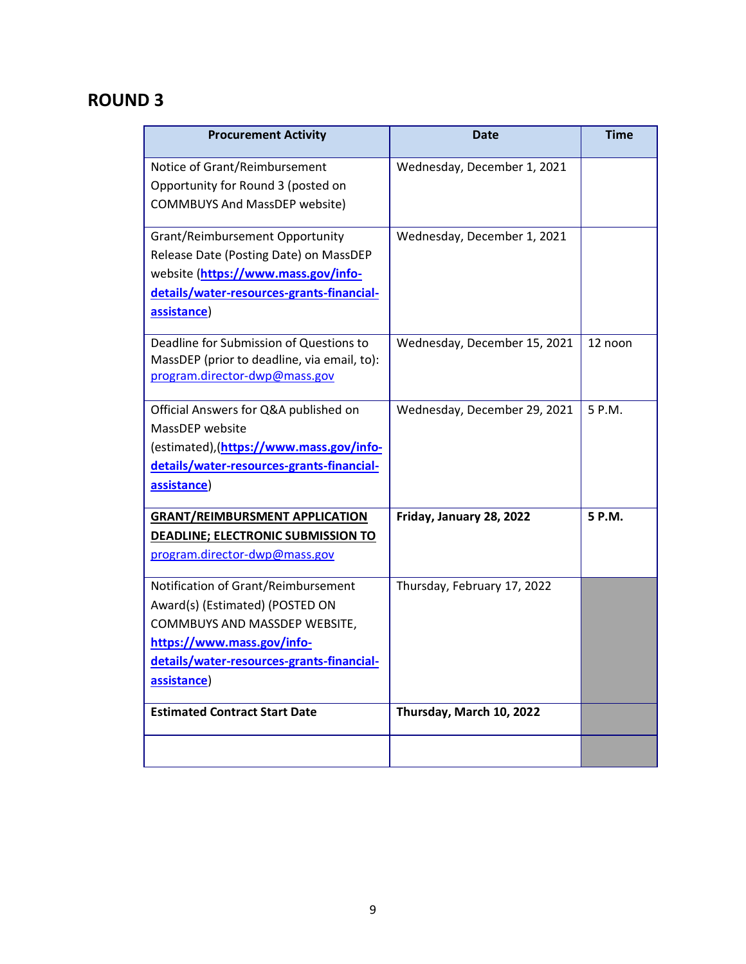# **ROUND 3**

| <b>Procurement Activity</b>                                                                                                                                                                       | <b>Date</b>                  | <b>Time</b> |
|---------------------------------------------------------------------------------------------------------------------------------------------------------------------------------------------------|------------------------------|-------------|
| Notice of Grant/Reimbursement<br>Opportunity for Round 3 (posted on<br><b>COMMBUYS And MassDEP website)</b>                                                                                       | Wednesday, December 1, 2021  |             |
| Grant/Reimbursement Opportunity<br>Release Date (Posting Date) on MassDEP<br>website (https://www.mass.gov/info-<br>details/water-resources-grants-financial-<br>assistance)                      | Wednesday, December 1, 2021  |             |
| Deadline for Submission of Questions to<br>MassDEP (prior to deadline, via email, to):<br>program.director-dwp@mass.gov                                                                           | Wednesday, December 15, 2021 | 12 noon     |
| Official Answers for Q&A published on<br>MassDEP website<br>(estimated), (https://www.mass.gov/info-<br>details/water-resources-grants-financial-<br>assistance)                                  | Wednesday, December 29, 2021 | 5 P.M.      |
| <b>GRANT/REIMBURSMENT APPLICATION</b><br><b>DEADLINE; ELECTRONIC SUBMISSION TO</b><br>program.director-dwp@mass.gov                                                                               | Friday, January 28, 2022     | 5 P.M.      |
| Notification of Grant/Reimbursement<br>Award(s) (Estimated) (POSTED ON<br>COMMBUYS AND MASSDEP WEBSITE,<br>https://www.mass.gov/info-<br>details/water-resources-grants-financial-<br>assistance) | Thursday, February 17, 2022  |             |
| <b>Estimated Contract Start Date</b>                                                                                                                                                              | Thursday, March 10, 2022     |             |
|                                                                                                                                                                                                   |                              |             |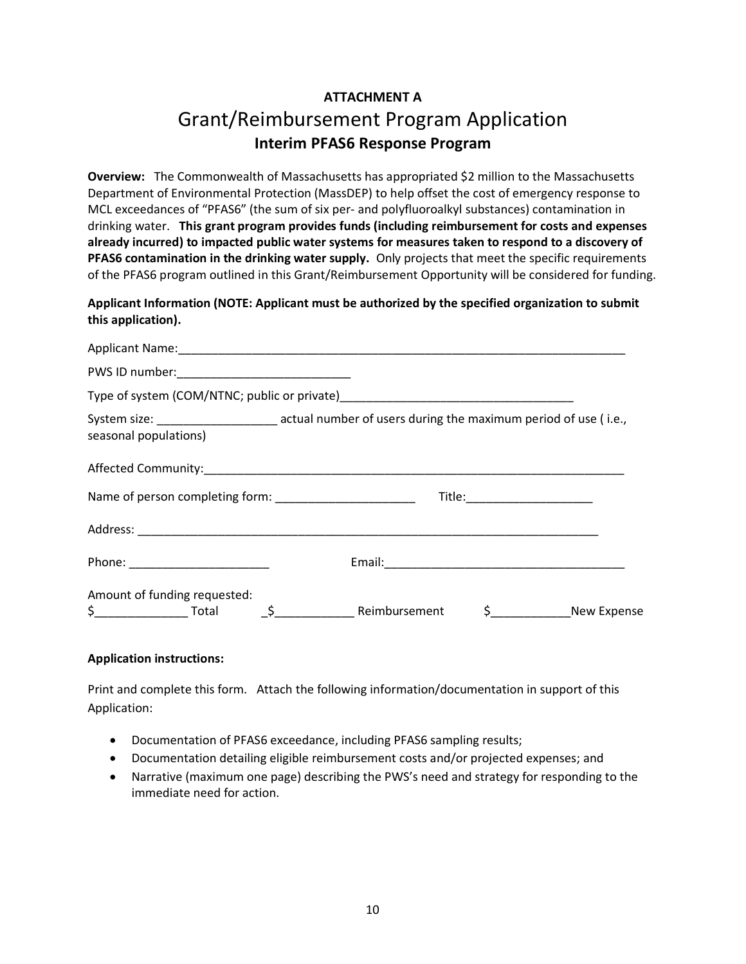# **ATTACHMENT A** Grant/Reimbursement Program Application **Interim PFAS6 Response Program**

**Overview:** The Commonwealth of Massachusetts has appropriated \$2 million to the Massachusetts Department of Environmental Protection (MassDEP) to help offset the cost of emergency response to MCL exceedances of "PFAS6" (the sum of six per- and polyfluoroalkyl substances) contamination in drinking water. **This grant program provides funds (including reimbursement for costs and expenses already incurred) to impacted public water systems for measures taken to respond to a discovery of PFAS6 contamination in the drinking water supply.** Only projects that meet the specific requirements of the PFAS6 program outlined in this Grant/Reimbursement Opportunity will be considered for funding.

**Applicant Information (NOTE: Applicant must be authorized by the specified organization to submit this application).**

| PWS ID number: _________________________________          |                                                                                                        |
|-----------------------------------------------------------|--------------------------------------------------------------------------------------------------------|
|                                                           |                                                                                                        |
| seasonal populations)                                     | System size: __________________________ actual number of users during the maximum period of use (i.e., |
|                                                           |                                                                                                        |
| Name of person completing form: _________________________ | Title:_________________________                                                                        |
|                                                           |                                                                                                        |
| Phone: _______________________                            |                                                                                                        |
| Amount of funding requested:                              | \$____________________New Expense                                                                      |

### **Application instructions:**

Print and complete this form. Attach the following information/documentation in support of this Application:

- Documentation of PFAS6 exceedance, including PFAS6 sampling results;
- Documentation detailing eligible reimbursement costs and/or projected expenses; and
- Narrative (maximum one page) describing the PWS's need and strategy for responding to the immediate need for action.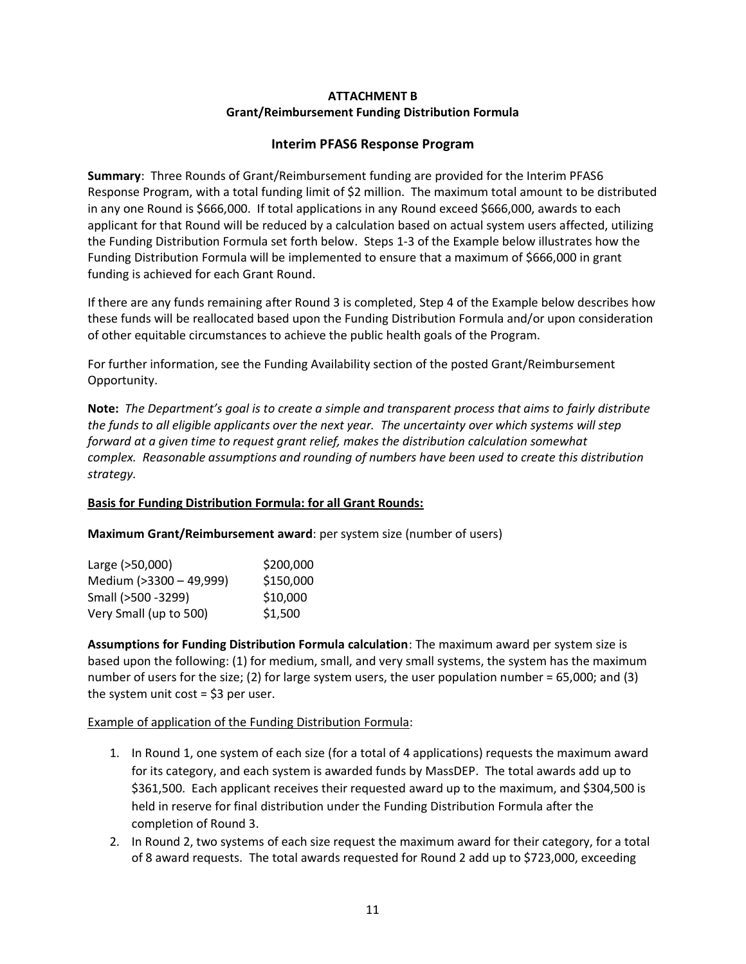### **ATTACHMENT B Grant/Reimbursement Funding Distribution Formula**

### **Interim PFAS6 Response Program**

**Summary**: Three Rounds of Grant/Reimbursement funding are provided for the Interim PFAS6 Response Program, with a total funding limit of \$2 million. The maximum total amount to be distributed in any one Round is \$666,000. If total applications in any Round exceed \$666,000, awards to each applicant for that Round will be reduced by a calculation based on actual system users affected, utilizing the Funding Distribution Formula set forth below. Steps 1-3 of the Example below illustrates how the Funding Distribution Formula will be implemented to ensure that a maximum of \$666,000 in grant funding is achieved for each Grant Round.

If there are any funds remaining after Round 3 is completed, Step 4 of the Example below describes how these funds will be reallocated based upon the Funding Distribution Formula and/or upon consideration of other equitable circumstances to achieve the public health goals of the Program.

For further information, see the Funding Availability section of the posted Grant/Reimbursement Opportunity.

**Note:** *The Department's goal is to create a simple and transparent process that aims to fairly distribute the funds to all eligible applicants over the next year. The uncertainty over which systems will step forward at a given time to request grant relief, makes the distribution calculation somewhat complex. Reasonable assumptions and rounding of numbers have been used to create this distribution strategy.* 

### **Basis for Funding Distribution Formula: for all Grant Rounds:**

**Maximum Grant/Reimbursement award**: per system size (number of users)

| Large (>50,000)         | \$200,000 |
|-------------------------|-----------|
| Medium (>3300 - 49,999) | \$150,000 |
| Small (>500 -3299)      | \$10,000  |
| Very Small (up to 500)  | \$1.500   |

**Assumptions for Funding Distribution Formula calculation**: The maximum award per system size is based upon the following: (1) for medium, small, and very small systems, the system has the maximum number of users for the size; (2) for large system users, the user population number = 65,000; and (3) the system unit cost  $=$  \$3 per user.

### Example of application of the Funding Distribution Formula:

- 1. In Round 1, one system of each size (for a total of 4 applications) requests the maximum award for its category, and each system is awarded funds by MassDEP. The total awards add up to \$361,500. Each applicant receives their requested award up to the maximum, and \$304,500 is held in reserve for final distribution under the Funding Distribution Formula after the completion of Round 3.
- 2. In Round 2, two systems of each size request the maximum award for their category, for a total of 8 award requests. The total awards requested for Round 2 add up to \$723,000, exceeding